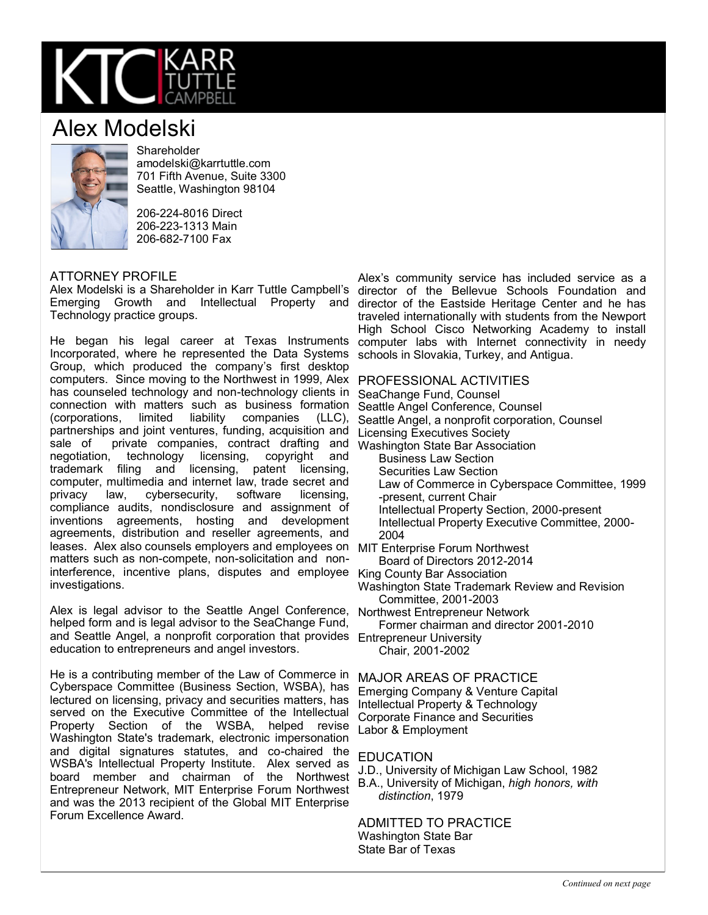

## Alex Modelski



**Shareholder** amodelski@karrtuttle.com 701 Fifth Avenue, Suite 3300 Seattle, Washington 98104

206-224-8016 Direct 206-223-1313 Main 206-682-7100 Fax

## ATTORNEY PROFILE

Alex Modelski is a Shareholder in Karr Tuttle Campbell's director of the Bellevue Schools Foundation and Emerging Growth and Intellectual Property and director of the Eastside Heritage Center and he has Technology practice groups.

He began his legal career at Texas Instruments Incorporated, where he represented the Data Systems Group, which produced the company's first desktop computers. Since moving to the Northwest in 1999, Alex PROFESSIONAL ACTIVITIES has counseled technology and non-technology clients in SeaChange Fund, Counsel connection with matters such as business formation Seattle Angel Conference, Counsel (corporations, limited liability companies (LLC), partnerships and joint ventures, funding, acquisition and sale of private companies, contract drafting and negotiation, technology licensing, copyright and trademark filing and licensing, patent licensing, computer, multimedia and internet law, trade secret and<br>privacy law, cybersecurity, software licensing, privacy law, cybersecurity, compliance audits, nondisclosure and assignment of inventions agreements, hosting and development agreements, distribution and reseller agreements, and leases. Alex also counsels employers and employees on MIT Enterprise Forum Northwest matters such as non-compete, non-solicitation and noninterference, incentive plans, disputes and employee King County Bar Association investigations.

Alex is legal advisor to the Seattle Angel Conference, Northwest Entrepreneur Network helped form and is legal advisor to the SeaChange Fund, and Seattle Angel, a nonprofit corporation that provides Entrepreneur University education to entrepreneurs and angel investors.

He is a contributing member of the Law of Commerce in Cyberspace Committee (Business Section, WSBA), has lectured on licensing, privacy and securities matters, has served on the Executive Committee of the Intellectual Property Section of the WSBA, helped revise Washington State's trademark, electronic impersonation and digital signatures statutes, and co-chaired the WSBA's Intellectual Property Institute. Alex served as board member and chairman of the Northwest Entrepreneur Network, MIT Enterprise Forum Northwest and was the 2013 recipient of the Global MIT Enterprise Forum Excellence Award.

Alex's community service has included service as a traveled internationally with students from the Newport High School Cisco Networking Academy to install computer labs with Internet connectivity in needy schools in Slovakia, Turkey, and Antigua.

Seattle Angel, a nonprofit corporation, Counsel Licensing Executives Society Washington State Bar Association Business Law Section Securities Law Section Law of Commerce in Cyberspace Committee, 1999 -present, current Chair Intellectual Property Section, 2000-present Intellectual Property Executive Committee, 2000- 2004

Board of Directors 2012-2014

Washington State Trademark Review and Revision Committee, 2001-2003

Former chairman and director 2001-2010

Chair, 2001-2002

MAJOR AREAS OF PRACTICE

Emerging Company & Venture Capital Intellectual Property & Technology Corporate Finance and Securities Labor & Employment

## EDUCATION

J.D., University of Michigan Law School, 1982 B.A., University of Michigan, *high honors, with distinction*, 1979

ADMITTED TO PRACTICE Washington State Bar State Bar of Texas